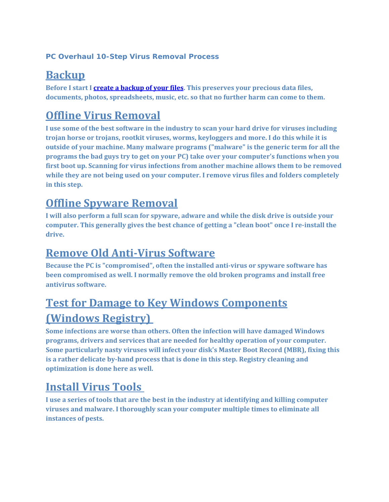#### **PC Overhaul 10-Step Virus Removal Process**

#### **Backup**

**Before I start I create a [backup](http://www.westfordcomputer.com/service7.php) of your files. This preserves your precious data files, documents, photos, spreadsheets, music, etc. so that no further harm can come to them.** 

### **Offline Virus Removal**

**I use some of the best software in the industry to scan your hard drive for viruses including trojan horse or trojans, rootkit viruses, worms, keyloggers and more. I do this while it is outside of your machine. Many malware programs ("malware" is the generic term for all the programs the bad guys try to get on your PC) take over your computer's functions when you first boot up. Scanning for virus infections from another machine allows them to be removed while they are not being used on your computer. I remove virus files and folders completely in this step.**

#### **Offline Spyware Removal**

**I will also perform a full scan for spyware, adware and while the disk drive is outside your computer. This generally gives the best chance of getting a "clean boot" once I re‐install the drive.**

#### **Remove Old Anti‐Virus Software**

**Because the PC is "compromised", often the installed anti‐virus or spyware software has been compromised as well. I normally remove the old broken programs and install free antivirus software.** 

### **Test for Damage to Key Windows Components (Windows Registry)**

**Some infections are worse than others. Often the infection will have damaged Windows programs, drivers and services that are needed for healthy operation of your computer. Some particularly nasty viruses will infect your disk's Master Boot Record (MBR), fixing this is a rather delicate by‐hand process that is done in this step. Registry cleaning and optimization is done here as well.**

#### **Install Virus Tools**

**I use a series of tools that are the best in the industry at identifying and killing computer viruses and malware. I thoroughly scan your computer multiple times to eliminate all instances of pests.**